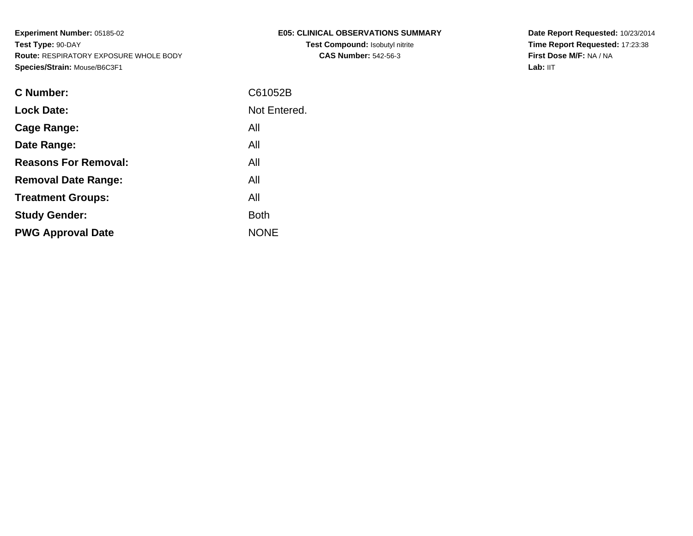| E05: CLINICAL OBSERVATIONS SUMMARY     |
|----------------------------------------|
| <b>Test Compound: Isobutyl nitrite</b> |
| <b>CAS Number: 542-56-3</b>            |

**Date Report Requested:** 10/23/2014 **Time Report Requested:** 17:23:38**First Dose M/F:** NA / NA**Lab:** IIT

| <b>C</b> Number:            | C61052B      |
|-----------------------------|--------------|
| <b>Lock Date:</b>           | Not Entered. |
| Cage Range:                 | All          |
| Date Range:                 | All          |
| <b>Reasons For Removal:</b> | All          |
| <b>Removal Date Range:</b>  | All          |
| <b>Treatment Groups:</b>    | All          |
| <b>Study Gender:</b>        | <b>Both</b>  |
| <b>PWG Approval Date</b>    | <b>NONE</b>  |
|                             |              |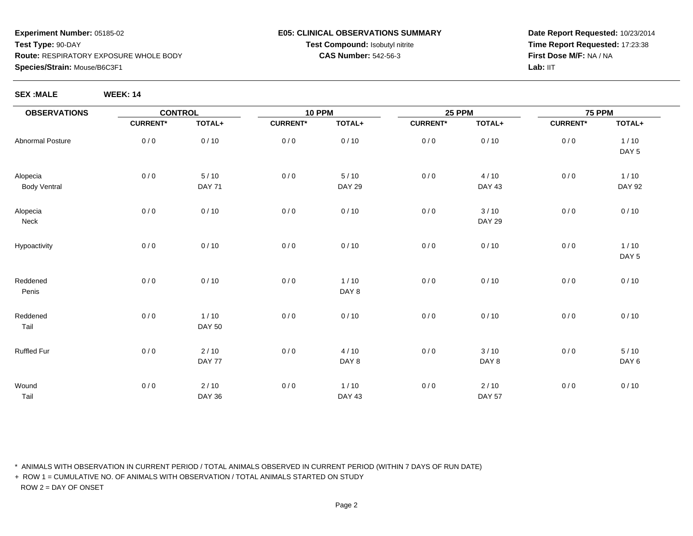### **E05: CLINICAL OBSERVATIONS SUMMARYTest Compound:** Isobutyl nitrite**CAS Number:** 542-56-3

**Date Report Requested:** 10/23/2014**Time Report Requested:** 17:23:38**First Dose M/F:** NA / NALab: IIT

**SEX :MALE WEEK: 14**

| <b>OBSERVATIONS</b>             | <b>CONTROL</b>  |                         | <b>10 PPM</b>   |                         | <b>25 PPM</b>   |                         | <b>75 PPM</b>   |                          |
|---------------------------------|-----------------|-------------------------|-----------------|-------------------------|-----------------|-------------------------|-----------------|--------------------------|
|                                 | <b>CURRENT*</b> | TOTAL+                  | <b>CURRENT*</b> | TOTAL+                  | <b>CURRENT*</b> | TOTAL+                  | <b>CURRENT*</b> | TOTAL+                   |
| <b>Abnormal Posture</b>         | 0/0             | 0/10                    | 0/0             | 0/10                    | 0/0             | 0/10                    | 0/0             | 1/10<br>DAY <sub>5</sub> |
| Alopecia<br><b>Body Ventral</b> | 0/0             | $5/10$<br><b>DAY 71</b> | 0/0             | $5/10$<br><b>DAY 29</b> | 0/0             | 4/10<br><b>DAY 43</b>   | 0/0             | $1/10$<br><b>DAY 92</b>  |
| Alopecia<br>Neck                | 0/0             | 0/10                    | $0/0$           | 0/10                    | 0/0             | 3/10<br><b>DAY 29</b>   | 0/0             | 0/10                     |
| Hypoactivity                    | 0/0             | 0/10                    | 0/0             | 0/10                    | 0/0             | 0/10                    | 0/0             | 1/10<br>DAY <sub>5</sub> |
| Reddened<br>Penis               | 0/0             | 0/10                    | $0/0$           | $1/10$<br>DAY 8         | 0/0             | 0/10                    | 0/0             | 0/10                     |
| Reddened<br>Tail                | 0/0             | $1/10$<br><b>DAY 50</b> | $0/0$           | 0/10                    | 0/0             | 0/10                    | 0/0             | 0/10                     |
| Ruffled Fur                     | 0/0             | 2/10<br>DAY 77          | 0/0             | 4/10<br>DAY 8           | 0/0             | 3/10<br>DAY 8           | 0/0             | 5/10<br>DAY <sub>6</sub> |
| Wound<br>Tail                   | 0/0             | 2/10<br><b>DAY 36</b>   | 0/0             | $1/10$<br><b>DAY 43</b> | 0/0             | $2/10$<br><b>DAY 57</b> | 0/0             | 0/10                     |

\* ANIMALS WITH OBSERVATION IN CURRENT PERIOD / TOTAL ANIMALS OBSERVED IN CURRENT PERIOD (WITHIN 7 DAYS OF RUN DATE)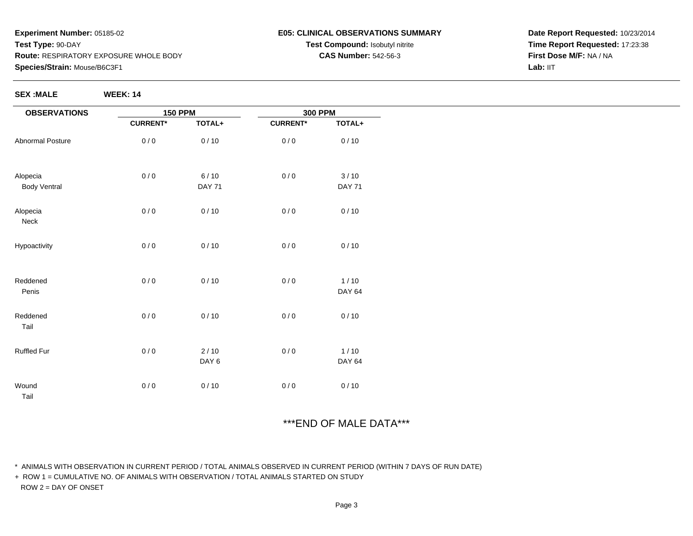**SEX :MALE WEEK: 14**

#### **E05: CLINICAL OBSERVATIONS SUMMARYTest Compound:** Isobutyl nitrite**CAS Number:** 542-56-3

**Date Report Requested:** 10/23/2014**Time Report Requested:** 17:23:38**First Dose M/F:** NA / NALab: IIT

| <b>OBSERVATIONS</b>             | <b>150 PPM</b>  |                       | <b>300 PPM</b>  |                         |
|---------------------------------|-----------------|-----------------------|-----------------|-------------------------|
|                                 | <b>CURRENT*</b> | TOTAL+                | <b>CURRENT*</b> | TOTAL+                  |
| Abnormal Posture                | 0/0             | 0/10                  | 0/0             | 0/10                    |
| Alopecia<br><b>Body Ventral</b> | 0/0             | 6/10<br><b>DAY 71</b> | 0/0             | 3/10<br><b>DAY 71</b>   |
|                                 |                 |                       |                 |                         |
| Alopecia<br>Neck                | 0/0             | 0/10                  | 0/0             | 0/10                    |
| Hypoactivity                    | 0/0             | 0/10                  | 0/0             | 0/10                    |
| Reddened<br>Penis               | 0/0             | 0/10                  | 0/0             | $1/10$<br><b>DAY 64</b> |
| Reddened<br>Tail                | 0/0             | 0/10                  | 0/0             | 0/10                    |
|                                 |                 |                       |                 |                         |
| Ruffled Fur                     | 0/0             | $2/10$<br>DAY 6       | 0/0             | $1/10$<br>DAY 64        |
| Wound<br>Tail                   | 0/0             | 0/10                  | 0/0             | 0/10                    |

# \*\*\*END OF MALE DATA\*\*\*

\* ANIMALS WITH OBSERVATION IN CURRENT PERIOD / TOTAL ANIMALS OBSERVED IN CURRENT PERIOD (WITHIN 7 DAYS OF RUN DATE)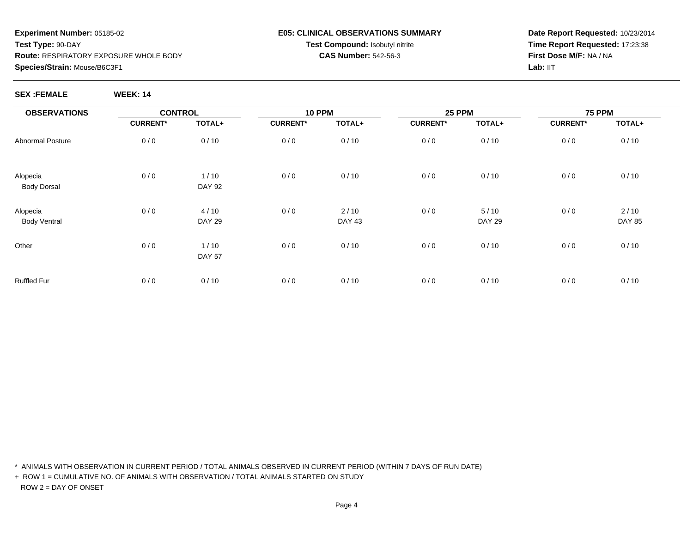#### **E05: CLINICAL OBSERVATIONS SUMMARYTest Compound:** Isobutyl nitrite**CAS Number:** 542-56-3

**Date Report Requested:** 10/23/2014**Time Report Requested:** 17:23:38**First Dose M/F:** NA / NALab: IIT

**SEX :FEMALE WEEK: 14**

| WEEK: 1 |  |  |  |
|---------|--|--|--|
|         |  |  |  |

| <b>OBSERVATIONS</b>             | <b>CONTROL</b>  |                       | <b>10 PPM</b>   |                       | <b>25 PPM</b>   |                         | <b>75 PPM</b>   |                       |
|---------------------------------|-----------------|-----------------------|-----------------|-----------------------|-----------------|-------------------------|-----------------|-----------------------|
|                                 | <b>CURRENT*</b> | TOTAL+                | <b>CURRENT*</b> | TOTAL+                | <b>CURRENT*</b> | TOTAL+                  | <b>CURRENT*</b> | TOTAL+                |
| Abnormal Posture                | 0/0             | 0/10                  | 0/0             | 0/10                  | 0/0             | 0/10                    | 0/0             | 0/10                  |
| Alopecia<br><b>Body Dorsal</b>  | 0/0             | 1/10<br><b>DAY 92</b> | 0/0             | 0/10                  | 0/0             | 0/10                    | 0/0             | 0/10                  |
| Alopecia<br><b>Body Ventral</b> | 0/0             | 4/10<br><b>DAY 29</b> | 0/0             | 2/10<br><b>DAY 43</b> | 0/0             | $5/10$<br><b>DAY 29</b> | 0/0             | 2/10<br><b>DAY 85</b> |
| Other                           | 0/0             | 1/10<br><b>DAY 57</b> | 0/0             | 0/10                  | 0/0             | 0/10                    | 0/0             | 0/10                  |
| Ruffled Fur                     | 0/0             | 0/10                  | 0/0             | 0/10                  | 0/0             | 0/10                    | 0/0             | 0/10                  |

\* ANIMALS WITH OBSERVATION IN CURRENT PERIOD / TOTAL ANIMALS OBSERVED IN CURRENT PERIOD (WITHIN 7 DAYS OF RUN DATE)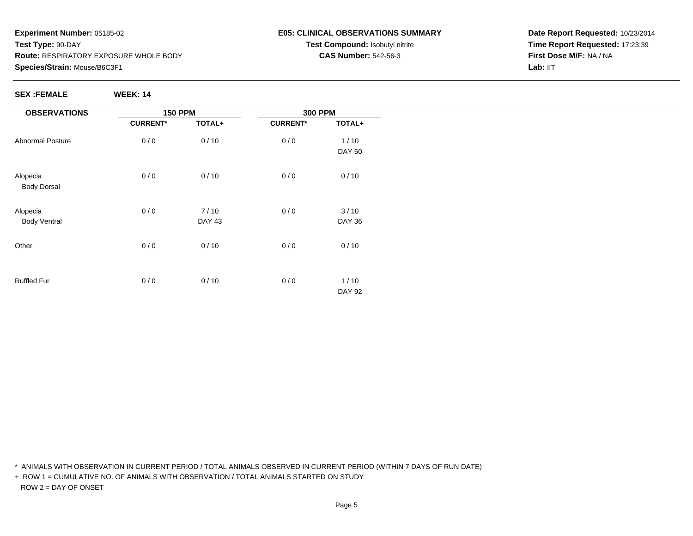#### **E05: CLINICAL OBSERVATIONS SUMMARYTest Compound:** Isobutyl nitrite**CAS Number:** 542-56-3

**Date Report Requested:** 10/23/2014**Time Report Requested:** 17:23:39**First Dose M/F:** NA / NALab: IIT

#### **SEX :FEMALE WEEK: 14**

| <b>OBSERVATIONS</b>            | <b>150 PPM</b>  |               | <b>300 PPM</b>  |               |
|--------------------------------|-----------------|---------------|-----------------|---------------|
|                                | <b>CURRENT*</b> | TOTAL+        | <b>CURRENT*</b> | TOTAL+        |
| <b>Abnormal Posture</b>        | 0/0             | 0/10          | 0/0             | 1/10          |
|                                |                 |               |                 | <b>DAY 50</b> |
| Alopecia<br><b>Body Dorsal</b> | 0/0             | 0/10          | 0/0             | 0/10          |
| Alopecia                       | 0/0             | 7/10          | 0/0             | 3/10          |
| <b>Body Ventral</b>            |                 | <b>DAY 43</b> |                 | <b>DAY 36</b> |
| Other                          | 0/0             | 0/10          | 0/0             | 0/10          |
| <b>Ruffled Fur</b>             | 0/0             | 0/10          | 0/0             | $1/10$        |
|                                |                 |               |                 | <b>DAY 92</b> |

\* ANIMALS WITH OBSERVATION IN CURRENT PERIOD / TOTAL ANIMALS OBSERVED IN CURRENT PERIOD (WITHIN 7 DAYS OF RUN DATE)